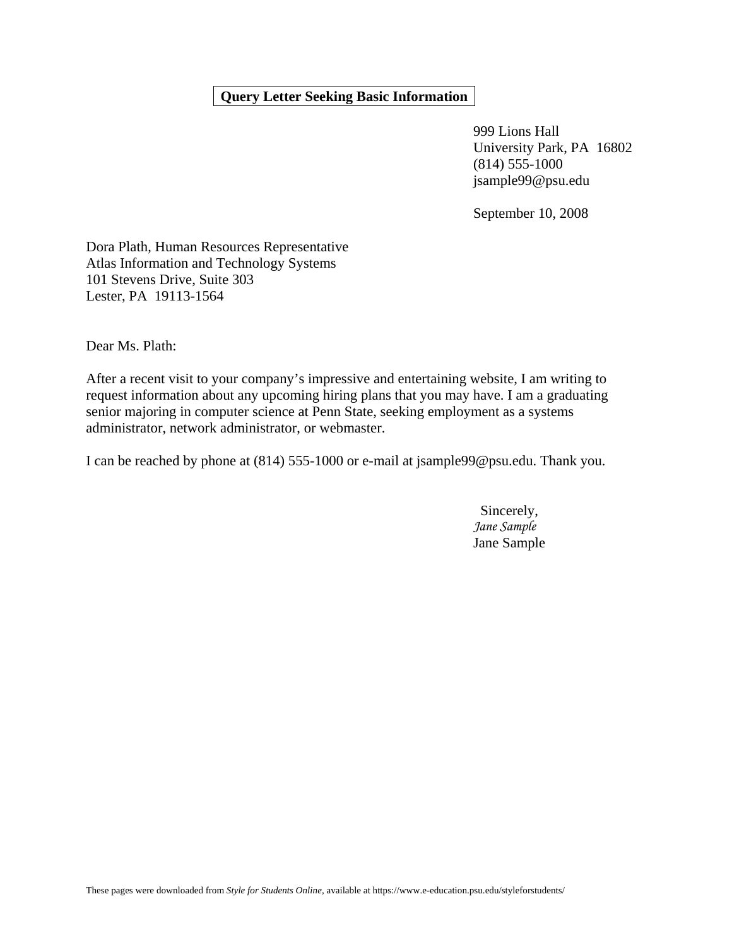# **Query Letter Seeking Basic Information**

 999 Lions Hall University Park, PA 16802 (814) 555-1000 jsample99@psu.edu

September 10, 2008

Dora Plath, Human Resources Representative Atlas Information and Technology Systems 101 Stevens Drive, Suite 303 Lester, PA 19113-1564

Dear Ms. Plath:

After a recent visit to your company's impressive and entertaining website, I am writing to request information about any upcoming hiring plans that you may have. I am a graduating senior majoring in computer science at Penn State, seeking employment as a systems administrator, network administrator, or webmaster.

I can be reached by phone at (814) 555-1000 or e-mail at jsample99@psu.edu. Thank you.

 Sincerely, *Jane Sample*  Jane Sample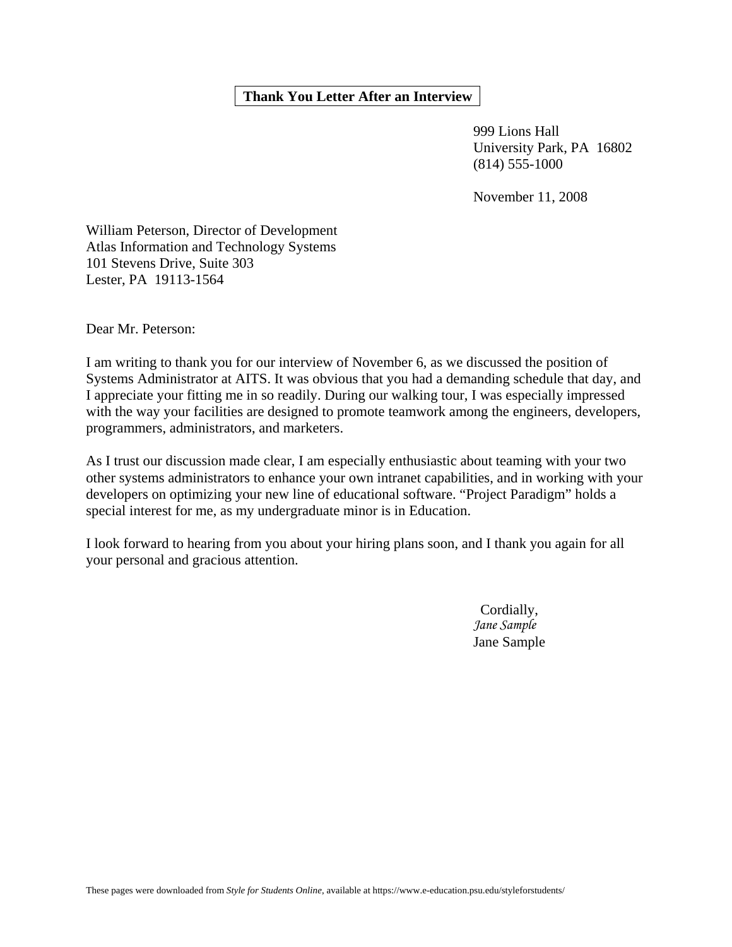## **Thank You Letter After an Interview**

 999 Lions Hall University Park, PA 16802 (814) 555-1000

November 11, 2008

William Peterson, Director of Development Atlas Information and Technology Systems 101 Stevens Drive, Suite 303 Lester, PA 19113-1564

Dear Mr. Peterson:

I am writing to thank you for our interview of November 6, as we discussed the position of Systems Administrator at AITS. It was obvious that you had a demanding schedule that day, and I appreciate your fitting me in so readily. During our walking tour, I was especially impressed with the way your facilities are designed to promote teamwork among the engineers, developers, programmers, administrators, and marketers.

As I trust our discussion made clear, I am especially enthusiastic about teaming with your two other systems administrators to enhance your own intranet capabilities, and in working with your developers on optimizing your new line of educational software. "Project Paradigm" holds a special interest for me, as my undergraduate minor is in Education.

I look forward to hearing from you about your hiring plans soon, and I thank you again for all your personal and gracious attention.

> Cordially, *Jane Sample*  Jane Sample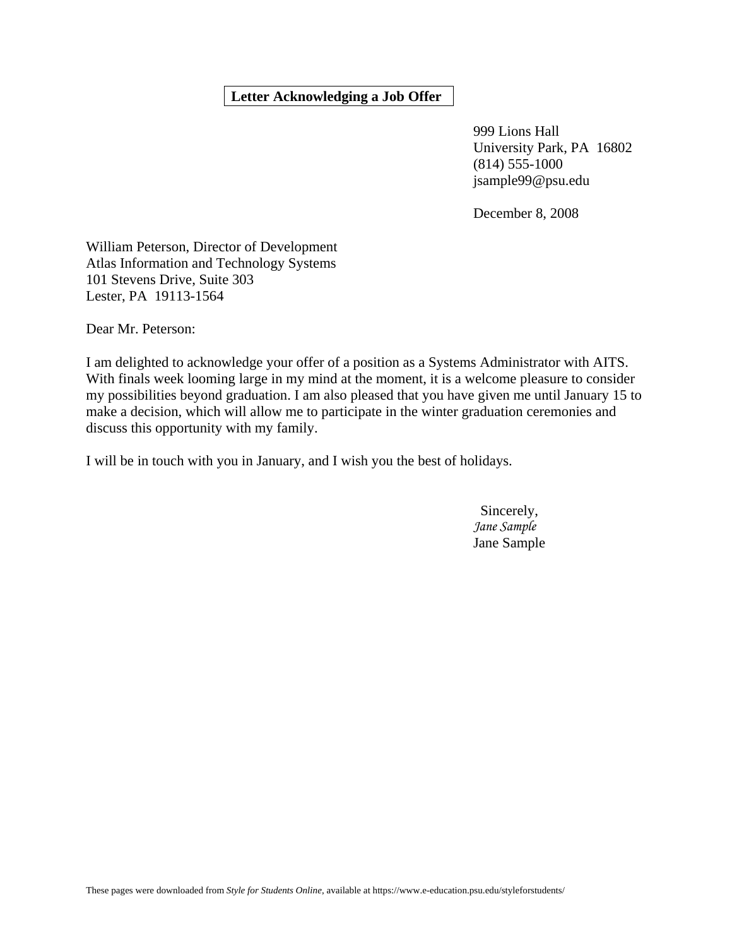# **Letter Acknowledging a Job Offer**

 999 Lions Hall University Park, PA 16802 (814) 555-1000 jsample99@psu.edu

December 8, 2008

William Peterson, Director of Development Atlas Information and Technology Systems 101 Stevens Drive, Suite 303 Lester, PA 19113-1564

Dear Mr. Peterson:

I am delighted to acknowledge your offer of a position as a Systems Administrator with AITS. With finals week looming large in my mind at the moment, it is a welcome pleasure to consider my possibilities beyond graduation. I am also pleased that you have given me until January 15 to make a decision, which will allow me to participate in the winter graduation ceremonies and discuss this opportunity with my family.

I will be in touch with you in January, and I wish you the best of holidays.

 Sincerely, *Jane Sample*  Jane Sample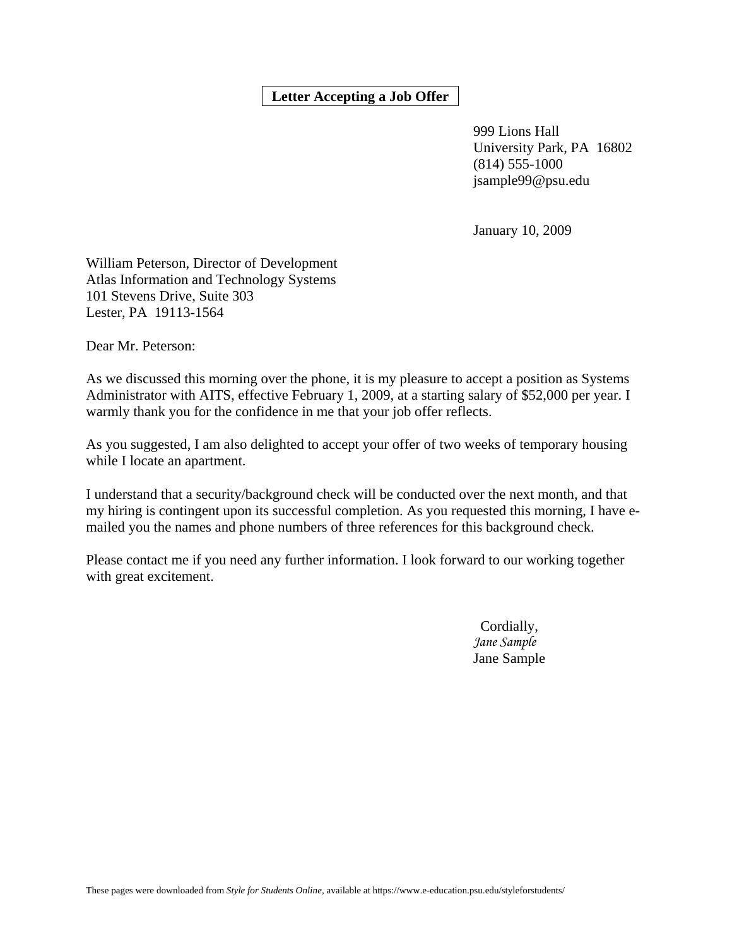# **Letter Accepting a Job Offer**

 999 Lions Hall University Park, PA 16802 (814) 555-1000 jsample99@psu.edu

January 10, 2009

William Peterson, Director of Development Atlas Information and Technology Systems 101 Stevens Drive, Suite 303 Lester, PA 19113-1564

Dear Mr. Peterson:

As we discussed this morning over the phone, it is my pleasure to accept a position as Systems Administrator with AITS, effective February 1, 2009, at a starting salary of \$52,000 per year. I warmly thank you for the confidence in me that your job offer reflects.

As you suggested, I am also delighted to accept your offer of two weeks of temporary housing while I locate an apartment.

I understand that a security/background check will be conducted over the next month, and that my hiring is contingent upon its successful completion. As you requested this morning, I have emailed you the names and phone numbers of three references for this background check.

Please contact me if you need any further information. I look forward to our working together with great excitement.

> Cordially, *Jane Sample*  Jane Sample